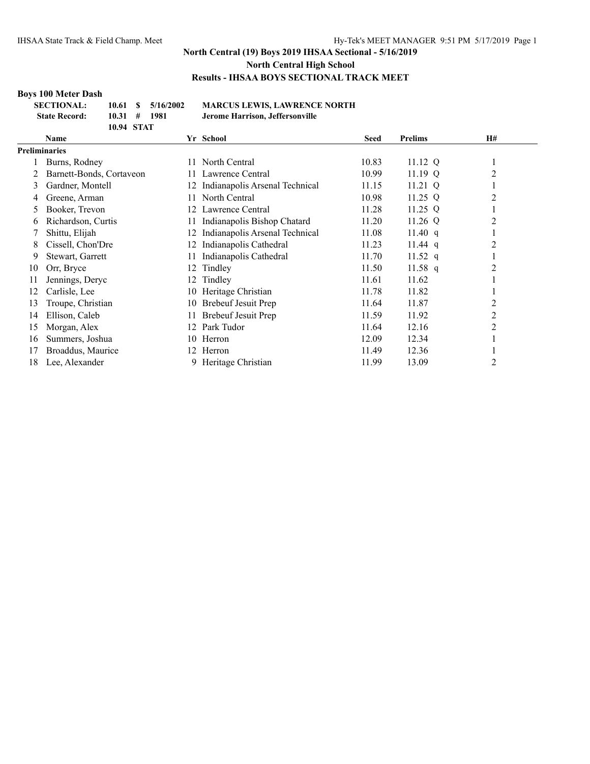#### **Boys 100 Meter Dash**

| <b>SECTIONAL:</b>    | 10.61            | \$5/16/2002 | MА    |
|----------------------|------------------|-------------|-------|
| <b>State Record:</b> | $10.31 \pm 1981$ |             | Jero. |
|                      | 10.94 STAT       |             |       |

**SECTIONAL: 10.61 \$ 5/16/2002 MARCUS LEWIS, LAWRENCE NORTH State Record: 10.31 # 1981 Jerome Harrison, Jeffersonville**

|                      | Name                     |     | Yr School                      | <b>Seed</b> | <b>Prelims</b> | H#       |
|----------------------|--------------------------|-----|--------------------------------|-------------|----------------|----------|
| <b>Preliminaries</b> |                          |     |                                |             |                |          |
|                      | Burns, Rodney            | 11  | North Central                  | 10.83       | 11.12 Q        | $\bf{I}$ |
|                      | Barnett-Bonds, Cortaveon | 11. | Lawrence Central               | 10.99       | 11.19 $Q$      | 2        |
| 3                    | Gardner, Montell         | 12  | Indianapolis Arsenal Technical | 11.15       | 11.21 Q        |          |
| 4                    | Greene, Arman            | 11. | North Central                  | 10.98       | 11.25 $Q$      | 2        |
| 5                    | Booker, Trevon           | 12  | Lawrence Central               | 11.28       | 11.25 Q        |          |
| 6                    | Richardson, Curtis       | 11  | Indianapolis Bishop Chatard    | 11.20       | 11.26 Q        | 2        |
|                      | Shittu, Elijah           | 12  | Indianapolis Arsenal Technical | 11.08       | 11.40q         |          |
| 8                    | Cissell, Chon'Dre        | 12  | Indianapolis Cathedral         | 11.23       | $11.44$ q      | 2        |
| 9                    | Stewart, Garrett         | 11  | Indianapolis Cathedral         | 11.70       | 11.52 q        | -        |
| 10                   | Orr, Bryce               | 12  | Tindley                        | 11.50       | 11.58 q        | 2        |
| 11                   | Jennings, Deryc          | 12  | Tindley                        | 11.61       | 11.62          |          |
| 12                   | Carlisle, Lee            | 10  | Heritage Christian             | 11.78       | 11.82          |          |
| 13                   | Troupe, Christian        | 10  | Brebeuf Jesuit Prep            | 11.64       | 11.87          | 2        |
| 14                   | Ellison, Caleb           | 11  | Brebeuf Jesuit Prep            | 11.59       | 11.92          | 2        |
| 15                   | Morgan, Alex             | 12. | Park Tudor                     | 11.64       | 12.16          | 2        |
| 16                   | Summers, Joshua          | 10  | Herron                         | 12.09       | 12.34          |          |
| 17                   | Broaddus, Maurice        | 12. | Herron                         | 11.49       | 12.36          |          |
| 18                   | Lee, Alexander           |     | Heritage Christian             | 11.99       | 13.09          | 2        |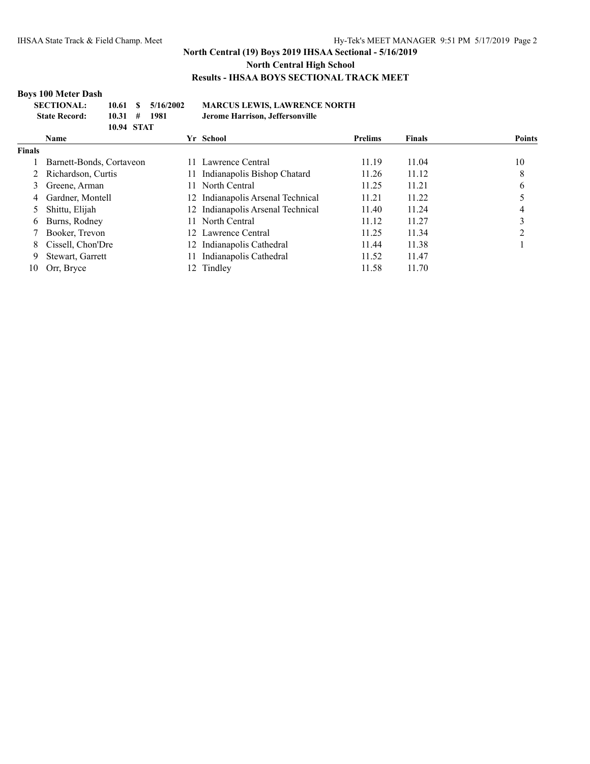## **Boys 100 Meter Dash**

| <b>SECTIONAL:</b>    |            | $10.61 \quad$ \$ $5/16/2002$ | <b>MARCUS LEWIS, LAWRENCE NORTH</b> |
|----------------------|------------|------------------------------|-------------------------------------|
| <b>State Record:</b> | 10.31#     | 1981                         | Jerome Harrison, Jeffersonville     |
|                      | 10.94 STAT |                              |                                     |

| <b>Name</b>              |   |                             | <b>Prelims</b>                                                                                                                               | <b>Finals</b> | <b>Points</b> |
|--------------------------|---|-----------------------------|----------------------------------------------------------------------------------------------------------------------------------------------|---------------|---------------|
|                          |   |                             |                                                                                                                                              |               |               |
| Barnett-Bonds, Cortaveon |   | Lawrence Central            | 11.19                                                                                                                                        | 11.04         | 10            |
| Richardson, Curtis       |   | Indianapolis Bishop Chatard | 11.26                                                                                                                                        | 11.12         | 8             |
| Greene, Arman            |   | North Central               | 11.25                                                                                                                                        | 11.21         | 6             |
| Gardner, Montell         |   |                             | 11.21                                                                                                                                        | 11.22         |               |
| Shittu, Elijah           |   |                             | 11.40                                                                                                                                        | 11.24         |               |
| Burns, Rodney            |   |                             | 11.12                                                                                                                                        | 11.27         |               |
| Booker, Trevon           |   |                             | 11.25                                                                                                                                        | 11.34         |               |
| Cissell, Chon'Dre        |   | Indianapolis Cathedral      | 11.44                                                                                                                                        | 11.38         |               |
| Stewart, Garrett         |   | Indianapolis Cathedral      | 11.52                                                                                                                                        | 11.47         |               |
| Orr, Bryce               |   | Tindley                     | 11.58                                                                                                                                        | 11.70         |               |
|                          | 4 |                             | Yr School<br>11.<br>12 Indianapolis Arsenal Technical<br>12 Indianapolis Arsenal Technical<br>11 North Central<br>12 Lawrence Central<br>12. |               |               |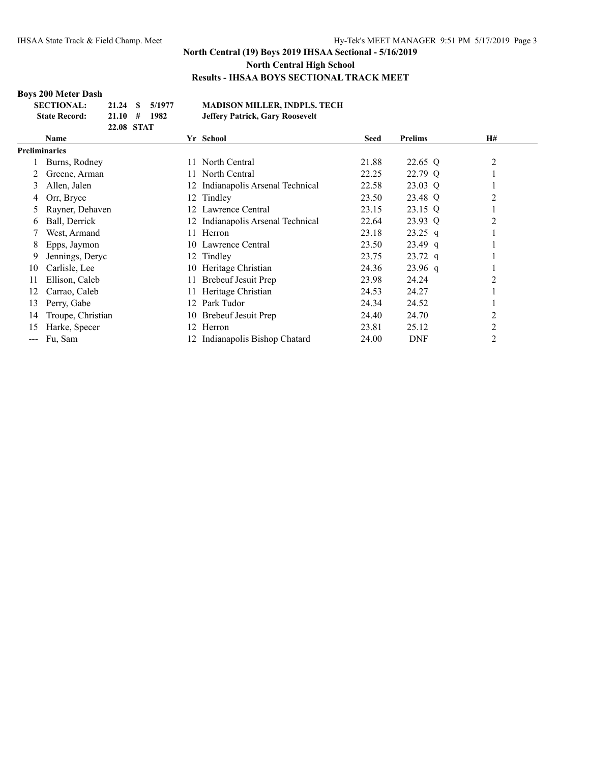## **Boys 200 Meter Dash**

| <b>SECTIONAL:</b>    |                  | 21.24 \$ 5/1977 | <b>MADISON MILLER, INDPLS. TECH</b> |
|----------------------|------------------|-----------------|-------------------------------------|
| <b>State Record:</b> | $21.10 \pm 1982$ |                 | Jeffery Patrick, Gary Roosevelt     |
|                      | 22.08 STAT       |                 |                                     |

|               | <b>Name</b>       |     | Yr School                         | <b>Seed</b> | <b>Prelims</b> | H#             |  |
|---------------|-------------------|-----|-----------------------------------|-------------|----------------|----------------|--|
| Preliminaries |                   |     |                                   |             |                |                |  |
|               | Burns, Rodney     |     | North Central                     | 21.88       | 22.65 Q        | $\overline{2}$ |  |
|               | Greene, Arman     | 11. | North Central                     | 22.25       | 22.79 Q        |                |  |
| 3             | Allen, Jalen      | 12  | Indianapolis Arsenal Technical    | 22.58       | 23.03 Q        |                |  |
| 4             | Orr, Bryce        |     | 12 Tindley                        | 23.50       | 23.48 Q        | 2              |  |
| 5             | Rayner, Dehaven   | 12. | Lawrence Central                  | 23.15       | 23.15 Q        |                |  |
| 6             | Ball, Derrick     |     | 12 Indianapolis Arsenal Technical | 22.64       | 23.93 Q        | 2              |  |
|               | West, Armand      | 11  | Herron                            | 23.18       | $23.25$ q      |                |  |
| 8             | Epps, Jaymon      | 10- | Lawrence Central                  | 23.50       | $23.49$ q      |                |  |
| 9             | Jennings, Deryc   |     | 12 Tindley                        | 23.75       | $23.72$ q      |                |  |
| 10            | Carlisle, Lee     |     | 10 Heritage Christian             | 24.36       | $23.96$ q      |                |  |
| 11            | Ellison, Caleb    |     | <b>Brebeuf Jesuit Prep</b>        | 23.98       | 24.24          | $\overline{2}$ |  |
| 12            | Carrao, Caleb     |     | Heritage Christian                | 24.53       | 24.27          |                |  |
| 13            | Perry, Gabe       | 12. | Park Tudor                        | 24.34       | 24.52          |                |  |
| 14            | Troupe, Christian | 10  | Brebeuf Jesuit Prep               | 24.40       | 24.70          | 2              |  |
| 15            | Harke, Specer     | 12. | Herron                            | 23.81       | 25.12          | $\overline{c}$ |  |
| $\frac{1}{2}$ | Fu, Sam           |     | Indianapolis Bishop Chatard       | 24.00       | DNF            | 2              |  |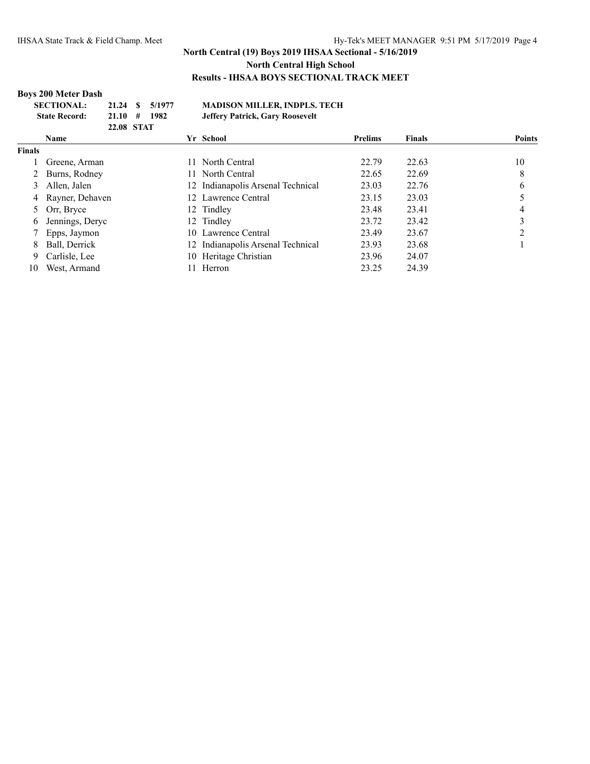## **Boys 200 Meter Dash**

| <b>SECTIONAL:</b>    | 21.24 \$ 5/1977  | <b>MADISON MILLER, INDPLS. TECH</b> |
|----------------------|------------------|-------------------------------------|
| <b>State Record:</b> | $21.10 \pm 1982$ | Jeffery Patrick, Gary Roosevelt     |
|                      | 22.08 STAT       |                                     |

|               | <b>Name</b>       | Yr School                         | <b>Prelims</b> | <b>Finals</b> | <b>Points</b> |
|---------------|-------------------|-----------------------------------|----------------|---------------|---------------|
| <b>Finals</b> |                   |                                   |                |               |               |
|               | Greene, Arman     | 11 North Central                  | 22.79          | 22.63         | 10            |
|               | Burns, Rodney     | 11 North Central                  | 22.65          | 22.69         | 8             |
|               | Allen, Jalen      | 12 Indianapolis Arsenal Technical | 23.03          | 22.76         | b             |
|               | 4 Rayner, Dehaven | 12 Lawrence Central               | 23.15          | 23.03         |               |
|               | Orr, Bryce        | 12 Tindley                        | 23.48          | 23.41         |               |
| 6.            | Jennings, Deryc   | 12 Tindley                        | 23.72          | 23.42         |               |
|               | Epps, Jaymon      | 10 Lawrence Central               | 23.49          | 23.67         |               |
| 8             | Ball, Derrick     | 12 Indianapolis Arsenal Technical | 23.93          | 23.68         |               |
| 9             | Carlisle, Lee     | 10 Heritage Christian             | 23.96          | 24.07         |               |
| 10            | West, Armand      | Herron                            | 23.25          | 24.39         |               |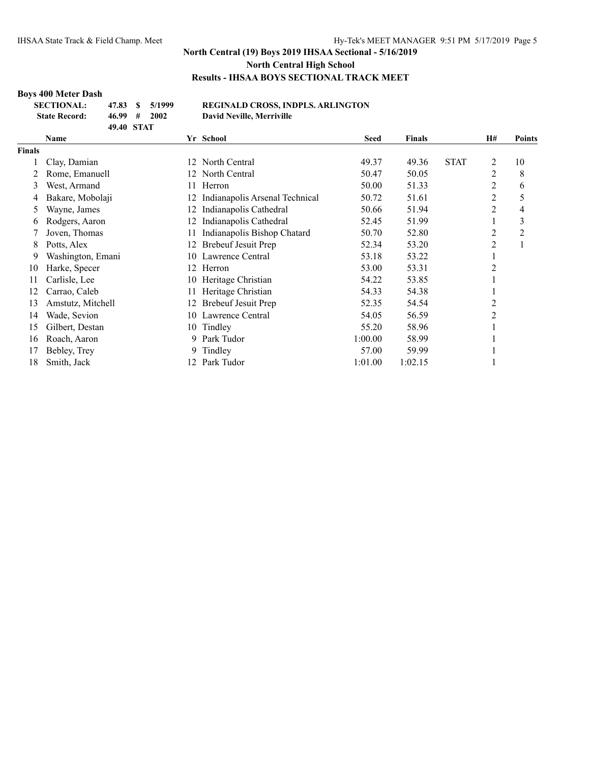## **Boys 400 Meter Dash**

| <b>SECTIONAL:</b>    | 47.83      | $\frac{1}{2}$ 5/1999       | R |
|----------------------|------------|----------------------------|---|
| <b>State Record:</b> |            | $46.99 \quad # \quad 2002$ | D |
|                      | 49.40 STAT |                            |   |

#### **SECTIONAL: 47.83 \$ 5/1999 REGINALD CROSS, INDPLS. ARLINGTON State Record: 46.99 # 2002 David Neville, Merriville**

|               | Name              |     | Yr School                      | <b>Seed</b> | <b>Finals</b> |             | H#      | <b>Points</b> |
|---------------|-------------------|-----|--------------------------------|-------------|---------------|-------------|---------|---------------|
| <b>Finals</b> |                   |     |                                |             |               |             |         |               |
|               | Clay, Damian      | 12  | North Central                  | 49.37       | 49.36         | <b>STAT</b> | 2       | 10            |
|               | Rome, Emanuell    | 12. | North Central                  | 50.47       | 50.05         |             | 2       | 8             |
| 3             | West, Armand      | 11  | Herron                         | 50.00       | 51.33         |             | 2       | 6             |
| 4             | Bakare, Mobolaji  |     | Indianapolis Arsenal Technical | 50.72       | 51.61         |             | 2       | 5             |
| Ć.            | Wayne, James      | 12  | Indianapolis Cathedral         | 50.66       | 51.94         |             | 2       | 4             |
| 6             | Rodgers, Aaron    | 12  | Indianapolis Cathedral         | 52.45       | 51.99         |             | $\perp$ | 3             |
|               | Joven, Thomas     | 11  | Indianapolis Bishop Chatard    | 50.70       | 52.80         |             | 2       | 2             |
| 8             | Potts, Alex       | 12  | Brebeuf Jesuit Prep            | 52.34       | 53.20         |             | 2       |               |
| 9             | Washington, Emani |     | 10 Lawrence Central            | 53.18       | 53.22         |             |         |               |
| 10            | Harke, Specer     |     | 12 Herron                      | 53.00       | 53.31         |             | 2       |               |
| 11            | Carlisle, Lee     | 10  | Heritage Christian             | 54.22       | 53.85         |             |         |               |
| 12            | Carrao, Caleb     | 11  | Heritage Christian             | 54.33       | 54.38         |             |         |               |
| 13            | Amstutz, Mitchell | 12  | Brebeuf Jesuit Prep            | 52.35       | 54.54         |             | 2       |               |
| 14            | Wade, Sevion      | 10  | Lawrence Central               | 54.05       | 56.59         |             | 2       |               |
| 15            | Gilbert, Destan   |     | 10 Tindley                     | 55.20       | 58.96         |             |         |               |
| 16            | Roach, Aaron      | 9.  | Park Tudor                     | 1:00.00     | 58.99         |             |         |               |
| 17            | Bebley, Trey      |     | 9 Tindley                      | 57.00       | 59.99         |             |         |               |
| 18            | Smith, Jack       | 12. | Park Tudor                     | 1:01.00     | 1:02.15       |             |         |               |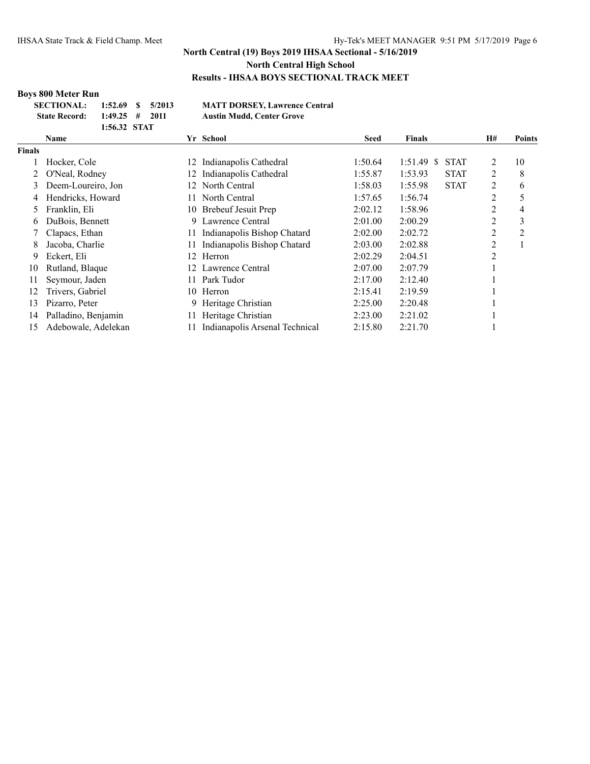## **Boys 800 Meter Run**

| <b>SECTIONAL:</b>    | $1:52.69$ \$ $5/2013$ |  | <b>MATT DORSEY, Lawrence Central</b> |
|----------------------|-----------------------|--|--------------------------------------|
| <b>State Record:</b> | $1:49.25$ # 2011      |  | <b>Austin Mudd, Center Grove</b>     |
|                      | 1.56.29 $C_{\rm TAT}$ |  |                                      |

|               | 1:56.32 STAT        |     |                                |             |                             |                |               |
|---------------|---------------------|-----|--------------------------------|-------------|-----------------------------|----------------|---------------|
|               | <b>Name</b>         |     | Yr School                      | <b>Seed</b> | <b>Finals</b>               | Н#             | <b>Points</b> |
| <b>Finals</b> |                     |     |                                |             |                             |                |               |
|               | Hocker, Cole        | 12  | Indianapolis Cathedral         | 1:50.64     | $1:51.49$ \$<br><b>STAT</b> | 2              | 10            |
|               | O'Neal, Rodney      | 12. | Indianapolis Cathedral         | 1:55.87     | 1:53.93<br><b>STAT</b>      | 2              | 8             |
| 3             | Deem-Loureiro, Jon  | 12  | North Central                  | 1:58.03     | 1:55.98<br><b>STAT</b>      | 2              | 6             |
| 4             | Hendricks, Howard   | 11. | North Central                  | 1:57.65     | 1:56.74                     | 2              | 5             |
| 5.            | Franklin, Eli       |     | 10 Brebeuf Jesuit Prep         | 2:02.12     | 1:58.96                     | 2              | 4             |
| 6             | DuBois, Bennett     | 9   | Lawrence Central               | 2:01.00     | 2:00.29                     | $\overline{2}$ | 3             |
|               | Clapacs, Ethan      | 11  | Indianapolis Bishop Chatard    | 2:02.00     | 2:02.72                     | 2              | 2             |
| 8             | Jacoba, Charlie     | 11  | Indianapolis Bishop Chatard    | 2:03.00     | 2:02.88                     | 2              |               |
| 9             | Eckert, Eli         | 12  | Herron                         | 2:02.29     | 2:04.51                     | 2              |               |
| 10            | Rutland, Blaque     | 12  | Lawrence Central               | 2:07.00     | 2:07.79                     |                |               |
| 11            | Seymour, Jaden      | 11  | Park Tudor                     | 2:17.00     | 2:12.40                     |                |               |
| 12            | Trivers, Gabriel    | 10  | Herron                         | 2:15.41     | 2:19.59                     |                |               |
| 13            | Pizarro, Peter      | 9.  | Heritage Christian             | 2:25.00     | 2:20.48                     |                |               |
| 14            | Palladino, Benjamin | 11  | Heritage Christian             | 2:23.00     | 2:21.02                     |                |               |
| 15            | Adebowale, Adelekan |     | Indianapolis Arsenal Technical | 2:15.80     | 2:21.70                     |                |               |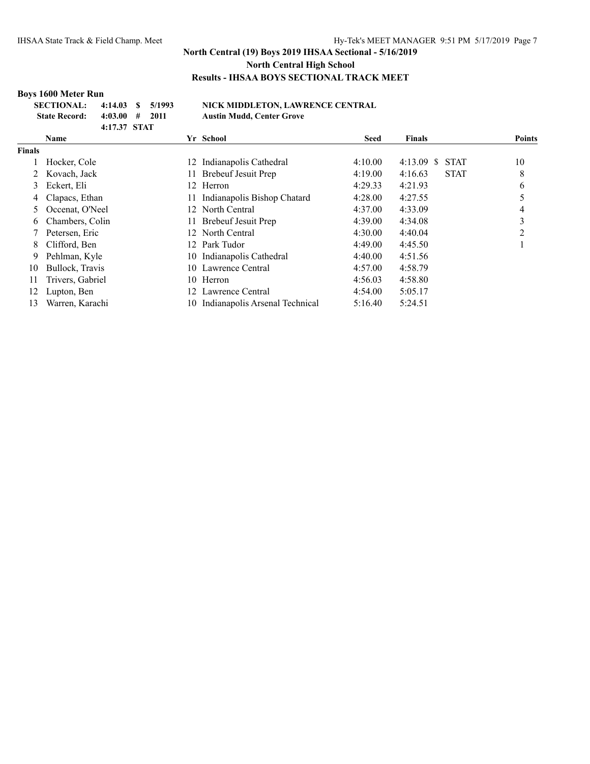# **Boys 1600 Meter Run**

| SECTIONAL: 4:14.03 \$ 5/1993 |               |  |  |
|------------------------------|---------------|--|--|
| State Record: 4:03.00 # 2011 |               |  |  |
|                              | $4.1737$ STAT |  |  |

#### **SECTIONAL: 4:14.03 \$ 5/1993 NICK MIDDLETON, LAWRENCE CENTRAL State Record: 4:03.00 # 2011 Austin Mudd, Center Grove**

|               |                  |    | $1.100$ cm $.10000$            |         |                              |               |
|---------------|------------------|----|--------------------------------|---------|------------------------------|---------------|
|               | 4:17.37 STAT     |    |                                |         |                              |               |
|               | <b>Name</b>      |    | Yr School                      | Seed    | Finals                       | <b>Points</b> |
| <b>Finals</b> |                  |    |                                |         |                              |               |
|               | Hocker, Cole     |    | 12 Indianapolis Cathedral      | 4:10.00 | 4:13.09<br>S.<br><b>STAT</b> | 10            |
|               | Kovach, Jack     | 11 | Brebeuf Jesuit Prep            | 4:19.00 | <b>STAT</b><br>4:16.63       | 8             |
| 3             | Eckert, Eli      |    | 12 Herron                      | 4:29.33 | 4:21.93                      | 6             |
| 4             | Clapacs, Ethan   |    | Indianapolis Bishop Chatard    | 4:28.00 | 4:27.55                      | 5             |
|               | Occenat, O'Neel  |    | 12 North Central               | 4:37.00 | 4:33.09                      | 4             |
| 6.            | Chambers, Colin  | 11 | <b>Brebeuf Jesuit Prep</b>     | 4:39.00 | 4:34.08                      | 3             |
|               | Petersen, Eric   |    | 12 North Central               | 4:30.00 | 4:40.04                      | 2             |
| 8.            | Clifford, Ben    | 12 | Park Tudor                     | 4:49.00 | 4:45.50                      |               |
| 9.            | Pehlman, Kyle    |    | 10 Indianapolis Cathedral      | 4:40.00 | 4:51.56                      |               |
| 10            | Bullock, Travis  |    | 10 Lawrence Central            | 4:57.00 | 4:58.79                      |               |
| 11            | Trivers, Gabriel | 10 | Herron                         | 4:56.03 | 4:58.80                      |               |
| 12            | Lupton, Ben      | 12 | Lawrence Central               | 4:54.00 | 5:05.17                      |               |
| 13            | Warren, Karachi  | 10 | Indianapolis Arsenal Technical | 5:16.40 | 5:24.51                      |               |
|               |                  |    |                                |         |                              |               |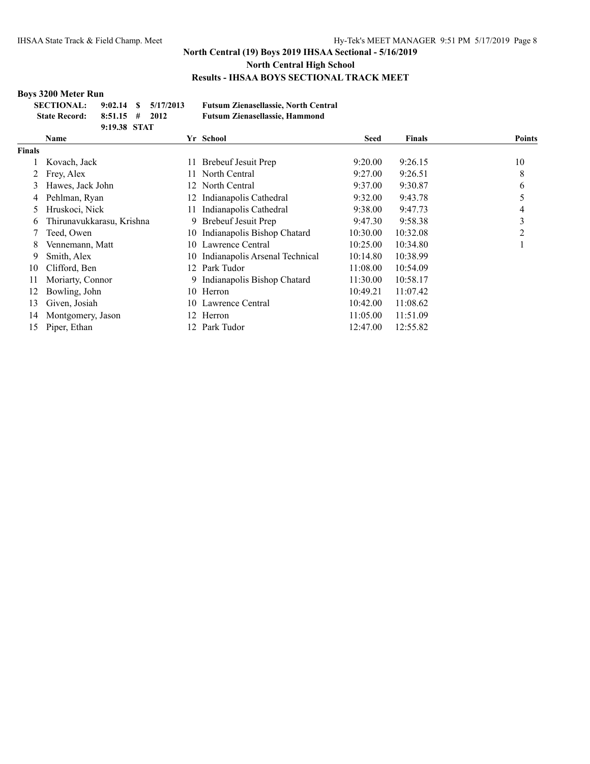## **Boys 3200 Meter Run**

| SECTIONAL: 9:02.14 \$ 5/17/2013 |              |  |
|---------------------------------|--------------|--|
| State Record: $8:51.15$ # 2012  |              |  |
|                                 | 9:19.38 STAT |  |

**SECTIONAL: 9:02.14 \$ 5/17/2013 Futsum Zienasellassie, North Central State Record: 8:51.15 # 2012 Futsum Zienasellassie, Hammond**

|                | <b>Name</b>               |     | Yr School                      | <b>Seed</b> | <b>Finals</b> | <b>Points</b> |
|----------------|---------------------------|-----|--------------------------------|-------------|---------------|---------------|
| <b>Finals</b>  |                           |     |                                |             |               |               |
|                | Kovach, Jack              | 11  | Brebeuf Jesuit Prep            | 9:20.00     | 9:26.15       | 10            |
|                | Frey, Alex                | 11. | North Central                  | 9:27.00     | 9:26.51       | 8             |
| 3              | Hawes, Jack John          |     | 12 North Central               | 9:37.00     | 9:30.87       | 6             |
| 4              | Pehlman, Ryan             | 12. | Indianapolis Cathedral         | 9:32.00     | 9:43.78       |               |
| $\mathfrak{L}$ | Hruskoci, Nick            | 11  | Indianapolis Cathedral         | 9:38.00     | 9:47.73       | 4             |
| 6              | Thirunavukkarasu, Krishna | 9   | Brebeuf Jesuit Prep            | 9:47.30     | 9:58.38       | 3             |
|                | Teed, Owen                | 10- | Indianapolis Bishop Chatard    | 10:30.00    | 10:32.08      | 2             |
| 8              | Vennemann, Matt           |     | 10 Lawrence Central            | 10:25.00    | 10:34.80      |               |
| 9              | Smith, Alex               | 10- | Indianapolis Arsenal Technical | 10:14.80    | 10:38.99      |               |
| 10             | Clifford, Ben             |     | 12 Park Tudor                  | 11:08.00    | 10:54.09      |               |
| 11             | Moriarty, Connor          |     | 9 Indianapolis Bishop Chatard  | 11:30.00    | 10:58.17      |               |
| 12             | Bowling, John             | 10  | Herron                         | 10:49.21    | 11:07.42      |               |
| 13             | Given, Josiah             |     | 10 Lawrence Central            | 10:42.00    | 11:08.62      |               |
| 14             | Montgomery, Jason         | 12  | Herron                         | 11:05.00    | 11:51.09      |               |
| 15             | Piper, Ethan              |     | 12 Park Tudor                  | 12:47.00    | 12:55.82      |               |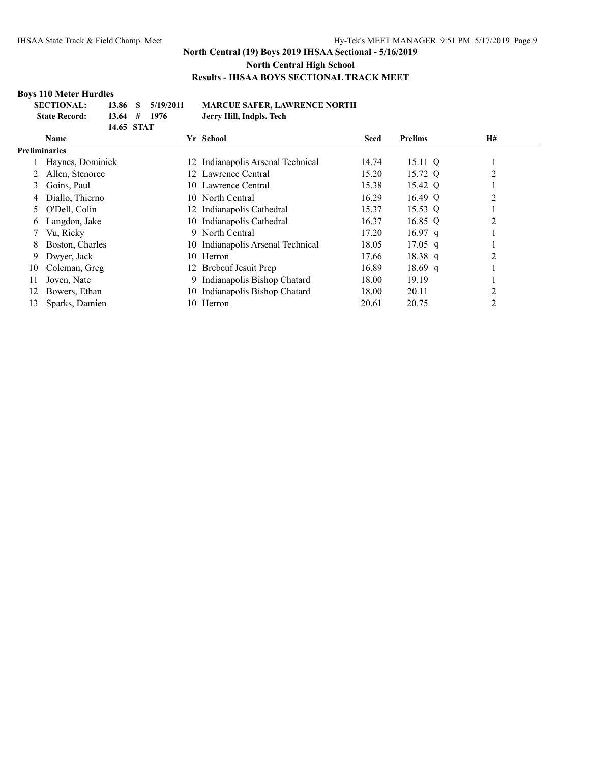## **Boys 110 Meter Hurdles**

| <b>SECTIONAL:</b>    |                | 13.86 \$ 5/19/2011 | <b>MARCUE SAFER, LA</b>  |
|----------------------|----------------|--------------------|--------------------------|
| <b>State Record:</b> | $13.64$ # 1976 |                    | Jerry Hill, Indpls. Tech |
|                      | 14.65 STAT     |                    |                          |

## **SECTIONAL: 13.86 \$ 5/19/2011 MARCUE SAFER, LAWRENCE NORTH**

|               | <b>Name</b>      |        | Yr School                         | <b>Seed</b> | <b>Prelims</b> | <b>H#</b> |
|---------------|------------------|--------|-----------------------------------|-------------|----------------|-----------|
| Preliminaries |                  |        |                                   |             |                |           |
|               | Haynes, Dominick | 12.    | Indianapolis Arsenal Technical    | 14.74       | 15.11 Q        |           |
|               | Allen, Stenoree  | $12 -$ | Lawrence Central                  | 15.20       | 15.72 Q        | 2         |
| 3             | Goins, Paul      |        | 10 Lawrence Central               | 15.38       | 15.42 Q        |           |
| 4             | Diallo, Thierno  |        | 10 North Central                  | 16.29       | 16.49 Q        | 2         |
|               | O'Dell, Colin    | 12.    | Indianapolis Cathedral            | 15.37       | 15.53 Q        |           |
| 6             | Langdon, Jake    | 10     | Indianapolis Cathedral            | 16.37       | 16.85 Q        | 2         |
|               | Vu, Ricky        | 9      | North Central                     | 17.20       | $16.97$ q      |           |
| 8             | Boston, Charles  |        | 10 Indianapolis Arsenal Technical | 18.05       | $17.05$ q      |           |
| 9             | Dwyer, Jack      | 10.    | Herron                            | 17.66       | $18.38$ q      | 2         |
| 10            | Coleman, Greg    | 12 -   | Brebeuf Jesuit Prep               | 16.89       | $18.69$ q      |           |
| 11            | Joven, Nate      | 9.     | Indianapolis Bishop Chatard       | 18.00       | 19.19          |           |
| 12            | Bowers, Ethan    | 10     | Indianapolis Bishop Chatard       | 18.00       | 20.11          | 2         |
| 13            | Sparks, Damien   | 10     | Herron                            | 20.61       | 20.75          | 2         |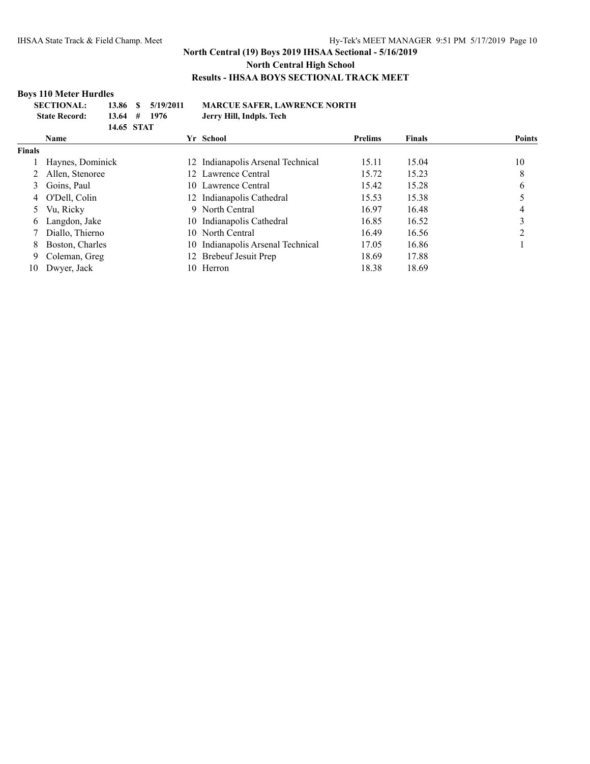## **Boys 110 Meter Hurdles**

| <b>SECTIONAL:</b>    |            | 13.86 \$ 5/19/2011 | <b>MARCUE SAFER, LAWRENCE NORTH</b> |
|----------------------|------------|--------------------|-------------------------------------|
| <b>State Record:</b> |            | $13.64$ # 1976     | Jerry Hill, Indpls. Tech            |
|                      | 14.65 STAT |                    |                                     |

|               | <b>Name</b>      |     | Yr School                         | <b>Prelims</b> | <b>Finals</b> | <b>Points</b> |
|---------------|------------------|-----|-----------------------------------|----------------|---------------|---------------|
| <b>Finals</b> |                  |     |                                   |                |               |               |
|               | Haynes, Dominick |     | 12 Indianapolis Arsenal Technical | 15.11          | 15.04         | 10            |
|               | Allen, Stenoree  |     | 12 Lawrence Central               | 15.72          | 15.23         | 8             |
|               | Goins, Paul      |     | 10 Lawrence Central               | 15.42          | 15.28         | 6             |
|               | 4 O'Dell, Colin  |     | 12 Indianapolis Cathedral         | 15.53          | 15.38         |               |
|               | Vu, Ricky        |     | 9 North Central                   | 16.97          | 16.48         | 4             |
| 6.            | Langdon, Jake    |     | 10 Indianapolis Cathedral         | 16.85          | 16.52         |               |
|               | Diallo, Thierno  |     | 10 North Central                  | 16.49          | 16.56         |               |
| 8.            | Boston, Charles  | 10. | Indianapolis Arsenal Technical    | 17.05          | 16.86         |               |
| 9.            | Coleman, Greg    |     | 12 Brebeuf Jesuit Prep            | 18.69          | 17.88         |               |
| 10            | Dwyer, Jack      | 10. | Herron                            | 18.38          | 18.69         |               |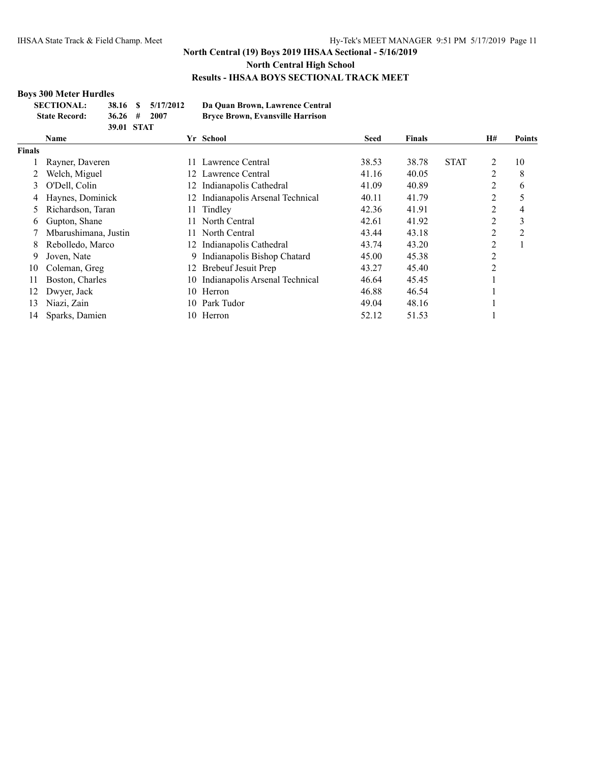## **Boys 300 Meter Hurdles**

| <b>SECTIONAL:</b>    |               | 38.16 \$ 5/17/2012 | Da Quan Brown, Lawrence Central         |
|----------------------|---------------|--------------------|-----------------------------------------|
| <b>State Record:</b> | $36.26 \pm 1$ | -2007              | <b>Bryce Brown, Evansville Harrison</b> |
|                      | 39.01 STAT    |                    |                                         |

|               | <b>Name</b>          |     | Yr School                      | <b>Seed</b> | <b>Finals</b> |             | H#             | <b>Points</b>  |
|---------------|----------------------|-----|--------------------------------|-------------|---------------|-------------|----------------|----------------|
| <b>Finals</b> |                      |     |                                |             |               |             |                |                |
|               | Rayner, Daveren      | 11. | Lawrence Central               | 38.53       | 38.78         | <b>STAT</b> | 2              | 10             |
|               | Welch, Miguel        | 12  | Lawrence Central               | 41.16       | 40.05         |             | $\overline{2}$ | 8              |
| 3             | O'Dell, Colin        |     | 12 Indianapolis Cathedral      | 41.09       | 40.89         |             | 2              | 6              |
|               | Haynes, Dominick     | 12. | Indianapolis Arsenal Technical | 40.11       | 41.79         |             | 2              |                |
|               | Richardson, Taran    | 11  | Tindley                        | 42.36       | 41.91         |             | $\overline{2}$ | 4              |
| 6             | Gupton, Shane        | 11  | North Central                  | 42.61       | 41.92         |             | $\overline{2}$ | 3              |
|               | Mbarushimana, Justin | 11. | North Central                  | 43.44       | 43.18         |             | 2              | $\overline{2}$ |
| 8.            | Rebolledo, Marco     | 12. | Indianapolis Cathedral         | 43.74       | 43.20         |             | $\overline{2}$ |                |
| 9             | Joven, Nate          | 9   | Indianapolis Bishop Chatard    | 45.00       | 45.38         |             | 2              |                |
| 10            | Coleman, Greg        | 12  | Brebeuf Jesuit Prep            | 43.27       | 45.40         |             | 2              |                |
| 11            | Boston, Charles      | 10  | Indianapolis Arsenal Technical | 46.64       | 45.45         |             |                |                |
| 12            | Dwyer, Jack          | 10. | Herron                         | 46.88       | 46.54         |             |                |                |
| 13            | Niazi, Zain          | 10  | Park Tudor                     | 49.04       | 48.16         |             |                |                |
| 14            | Sparks, Damien       | 10  | Herron                         | 52.12       | 51.53         |             |                |                |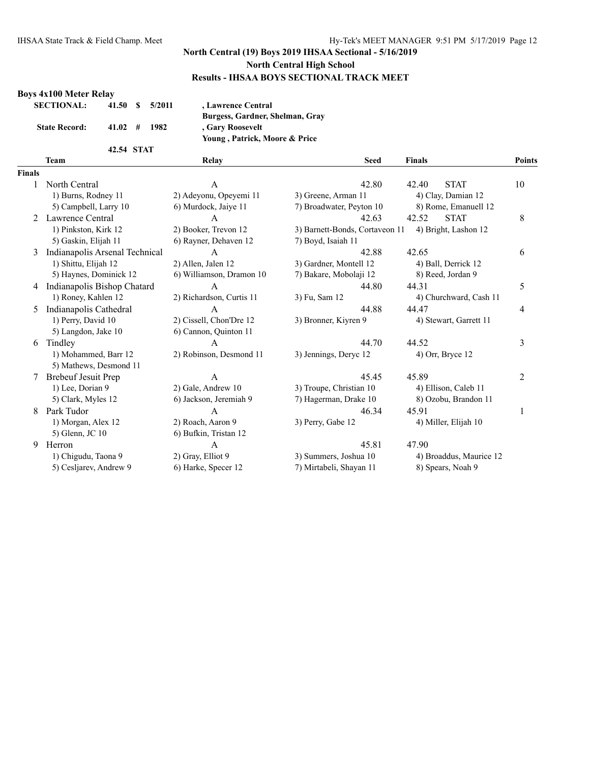**Team Relay Seed Finals Points**

#### **Boys 4x100 Meter Relay**

| <b>SECTIONAL:</b>    | 41.50 S                    | 5/2011 | , Lawrence Central              |
|----------------------|----------------------------|--------|---------------------------------|
|                      |                            |        | Burgess, Gardner, Shelman, Gray |
| <b>State Record:</b> | $41.02 \quad # \quad 1982$ |        | , Gary Roosevelt                |
|                      |                            |        | Young, Patrick, Moore & Price   |
|                      | 42.54 STAT                 |        |                                 |

# **Fi**

| inals |                                |                          |                                |                         |    |
|-------|--------------------------------|--------------------------|--------------------------------|-------------------------|----|
|       | North Central                  | A                        | 42.80                          | <b>STAT</b><br>42.40    | 10 |
|       | 1) Burns, Rodney 11            | 2) Adeyonu, Opeyemi 11   | 3) Greene, Arman 11            | 4) Clay, Damian 12      |    |
|       | 5) Campbell, Larry 10          | 6) Murdock, Jaiye 11     | 7) Broadwater, Peyton 10       | 8) Rome, Emanuell 12    |    |
|       | Lawrence Central               | A                        | 42.63                          | <b>STAT</b><br>42.52    | 8  |
|       | 1) Pinkston, Kirk 12           | 2) Booker, Trevon 12     | 3) Barnett-Bonds, Cortaveon 11 | 4) Bright, Lashon 12    |    |
|       | 5) Gaskin, Elijah 11           | 6) Rayner, Dehaven 12    | 7) Boyd, Isaiah 11             |                         |    |
| 3     | Indianapolis Arsenal Technical | $\mathsf{A}$             | 42.88                          | 42.65                   | 6  |
|       | 1) Shittu, Elijah 12           | 2) Allen, Jalen 12       | 3) Gardner, Montell 12         | 4) Ball, Derrick 12     |    |
|       | 5) Haynes, Dominick 12         | 6) Williamson, Dramon 10 | 7) Bakare, Mobolaji 12         | 8) Reed, Jordan 9       |    |
| 4     | Indianapolis Bishop Chatard    | A                        | 44.80                          | 44.31                   | 5  |
|       | 1) Roney, Kahlen 12            | 2) Richardson, Curtis 11 | 3) Fu, Sam 12                  | 4) Churchward, Cash 11  |    |
| 5     | Indianapolis Cathedral         | $\overline{A}$           | 44.88                          | 44.47                   | 4  |
|       | 1) Perry, David 10             | 2) Cissell, Chon'Dre 12  | 3) Bronner, Kiyren 9           | 4) Stewart, Garrett 11  |    |
|       | 5) Langdon, Jake 10            | 6) Cannon, Quinton 11    |                                |                         |    |
| 6     | Tindlev                        | A                        | 44.70                          | 44.52                   | 3  |
|       | 1) Mohammed, Barr 12           | 2) Robinson, Desmond 11  | 3) Jennings, Deryc 12          | 4) Orr, Bryce 12        |    |
|       | 5) Mathews, Desmond 11         |                          |                                |                         |    |
|       | <b>Brebeuf Jesuit Prep</b>     | A                        | 45.45                          | 45.89                   | 2  |
|       | 1) Lee, Dorian 9               | 2) Gale, Andrew 10       | 3) Troupe, Christian 10        | 4) Ellison, Caleb 11    |    |
|       | 5) Clark, Myles 12             | 6) Jackson, Jeremiah 9   | 7) Hagerman, Drake 10          | 8) Ozobu, Brandon 11    |    |
| 8     | Park Tudor                     | A                        | 46.34                          | 45.91                   | 1  |
|       | 1) Morgan, Alex 12             | 2) Roach, Aaron 9        | 3) Perry, Gabe 12              | 4) Miller, Elijah 10    |    |
|       | 5) Glenn, JC 10                | 6) Bufkin, Tristan 12    |                                |                         |    |
| 9     | Herron                         | A                        | 45.81                          | 47.90                   |    |
|       | 1) Chigudu, Taona 9            | 2) Gray, Elliot 9        | 3) Summers, Joshua 10          | 4) Broaddus, Maurice 12 |    |
|       | 5) Cesljarev, Andrew 9         | 6) Harke, Specer 12      | 7) Mirtabeli, Shayan 11        | 8) Spears, Noah 9       |    |
|       |                                |                          |                                |                         |    |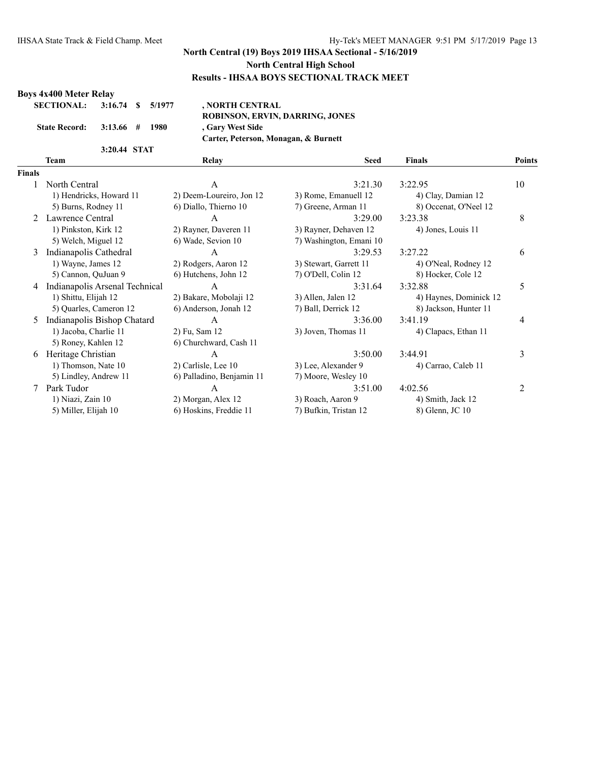#### **Boys 4x400 Meter Relay**

| SECTIONAL: 3:16.74 \$ 5/1977 |              |  |  |
|------------------------------|--------------|--|--|
| State Record: 3:13.66 # 1980 |              |  |  |
|                              | 3:20.44 STAT |  |  |

**SECTIONAL: 3:16.74 \$ 5/1977 , NORTH CENTRAL ROBINSON, ERVIN, DARRING, JONES State Record: 3:13.66 # 1980 , Gary West Side Carter, Peterson, Monagan, & Burnett**

**Team Relay Seed Finals Points**

# **Finals**

| nals |                                |                           |                         |                        |    |
|------|--------------------------------|---------------------------|-------------------------|------------------------|----|
| 1    | North Central                  | A                         | 3:21.30                 | 3:22.95                | 10 |
|      | 1) Hendricks, Howard 11        | 2) Deem-Loureiro, Jon 12  | 3) Rome, Emanuell 12    | 4) Clay, Damian 12     |    |
|      | 5) Burns, Rodney 11            | 6) Diallo, Thierno 10     | 7) Greene, Arman 11     | 8) Occenat, O'Neel 12  |    |
|      | 2 Lawrence Central             | A                         | 3:29.00                 | 3:23.38                | 8  |
|      | 1) Pinkston, Kirk 12           | 2) Rayner, Daveren 11     | 3) Rayner, Dehaven 12   | 4) Jones, Louis 11     |    |
|      | 5) Welch, Miguel 12            | 6) Wade, Sevion 10        | 7) Washington, Emani 10 |                        |    |
| 3    | Indianapolis Cathedral         | A                         | 3:29.53                 | 3:27.22                | 6  |
|      | 1) Wayne, James 12             | 2) Rodgers, Aaron 12      | 3) Stewart, Garrett 11  | 4) O'Neal, Rodney 12   |    |
|      | 5) Cannon, QuJuan 9            | 6) Hutchens, John 12      | 7) O'Dell, Colin 12     | 8) Hocker, Cole 12     |    |
| 4    | Indianapolis Arsenal Technical | A                         | 3:31.64                 | 3:32.88                | 5  |
|      | 1) Shittu, Elijah 12           | 2) Bakare, Mobolaji 12    | 3) Allen, Jalen 12      | 4) Haynes, Dominick 12 |    |
|      | 5) Quarles, Cameron 12         | 6) Anderson, Jonah 12     | 7) Ball, Derrick 12     | 8) Jackson, Hunter 11  |    |
| 5    | Indianapolis Bishop Chatard    | A                         | 3:36.00                 | 3:41.19                | 4  |
|      | 1) Jacoba, Charlie 11          | 2) Fu, Sam 12             | 3) Joven, Thomas 11     | 4) Clapacs, Ethan 11   |    |
|      | 5) Roney, Kahlen 12            | 6) Churchward, Cash 11    |                         |                        |    |
| 6    | Heritage Christian             | A                         | 3:50.00                 | 3:44.91                | 3  |
|      | 1) Thomson, Nate 10            | 2) Carlisle, Lee 10       | 3) Lee, Alexander 9     | 4) Carrao, Caleb 11    |    |
|      | 5) Lindley, Andrew 11          | 6) Palladino, Benjamin 11 | 7) Moore, Wesley 10     |                        |    |
|      | Park Tudor                     | $\mathsf{A}$              | 3:51.00                 | 4:02.56                | 2  |
|      | 1) Niazi, Zain 10              | 2) Morgan, Alex 12        | 3) Roach, Aaron 9       | 4) Smith, Jack 12      |    |
|      | 5) Miller, Elijah 10           | 6) Hoskins, Freddie 11    | 7) Bufkin, Tristan 12   | 8) Glenn, JC 10        |    |
|      |                                |                           |                         |                        |    |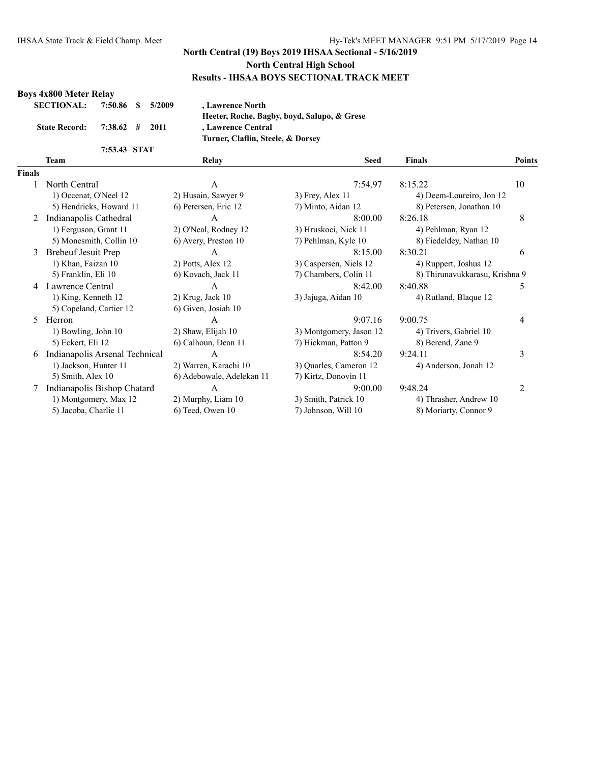#### **Boys 4x800 Meter Relay**

| SECTIONAL: 7:50.86 \$ 5/2009 |              |  |
|------------------------------|--------------|--|
| State Record: 7:38.62 # 2011 |              |  |
|                              | 7:53.43 STAT |  |

**SECTIONAL: 7:50.86 \$ 5/2009 , Lawrence North Heeter, Roche, Bagby, boyd, Salupo, & Grese State Record: 7:38.62 # 2011 , Lawrence Central Turner, Claflin, Steele, & Dorsey**

#### **Team Relay Seed Finals Points Finals**

| nals |                                |                           |                         |                                |    |
|------|--------------------------------|---------------------------|-------------------------|--------------------------------|----|
|      | North Central                  | A                         | 7:54.97                 | 8:15.22                        | 10 |
|      | 1) Occenat, O'Neel 12          | 2) Husain, Sawyer 9       | $3)$ Frey, Alex 11      | 4) Deem-Loureiro, Jon 12       |    |
|      | 5) Hendricks, Howard 11        | 6) Petersen, Eric 12      | 7) Minto, Aidan 12      | 8) Petersen, Jonathan 10       |    |
| 2    | Indianapolis Cathedral         | A                         | 8:00.00                 | 8:26.18                        | 8  |
|      | 1) Ferguson, Grant 11          | 2) O'Neal, Rodney 12      | 3) Hruskoci, Nick 11    | 4) Pehlman, Ryan 12            |    |
|      | 5) Monesmith, Collin 10        | 6) Avery, Preston 10      | 7) Pehlman, Kyle 10     | 8) Fiedeldey, Nathan 10        |    |
| 3    | <b>Brebeuf Jesuit Prep</b>     | А                         | 8:15.00                 | 8:30.21                        | 6  |
|      | 1) Khan, Faizan 10             | 2) Potts, Alex 12         | 3) Caspersen, Niels 12  | 4) Ruppert, Joshua 12          |    |
|      | 5) Franklin, Eli 10            | 6) Kovach, Jack 11        | 7) Chambers, Colin 11   | 8) Thirunavukkarasu, Krishna 9 |    |
| 4    | Lawrence Central               | A                         | 8:42.00                 | 8:40.88                        | 5  |
|      | 1) King, Kenneth 12            | $2)$ Krug, Jack 10        | 3) Jajuga, Aidan 10     | 4) Rutland, Blaque 12          |    |
|      | 5) Copeland, Cartier 12        | 6) Given, Josiah 10       |                         |                                |    |
| 5    | Herron                         | A                         | 9:07.16                 | 9:00.75                        | 4  |
|      | 1) Bowling, John 10            | 2) Shaw, Elijah 10        | 3) Montgomery, Jason 12 | 4) Trivers, Gabriel 10         |    |
|      | 5) Eckert, Eli 12              | 6) Calhoun, Dean 11       | 7) Hickman, Patton 9    | 8) Berend, Zane 9              |    |
| 6    | Indianapolis Arsenal Technical | A                         | 8:54.20                 | 9:24.11                        | 3  |
|      | 1) Jackson, Hunter 11          | 2) Warren, Karachi 10     | 3) Quarles, Cameron 12  | 4) Anderson, Jonah 12          |    |
|      | 5) Smith, Alex 10              | 6) Adebowale, Adelekan 11 | 7) Kirtz, Donovin 11    |                                |    |
|      | Indianapolis Bishop Chatard    | A                         | 9:00.00                 | 9:48.24                        |    |
|      | 1) Montgomery, Max 12          | 2) Murphy, Liam 10        | 3) Smith, Patrick 10    | 4) Thrasher, Andrew 10         |    |
|      | 5) Jacoba, Charlie 11          | 6) Teed, Owen 10          | 7) Johnson, Will 10     | 8) Moriarty, Connor 9          |    |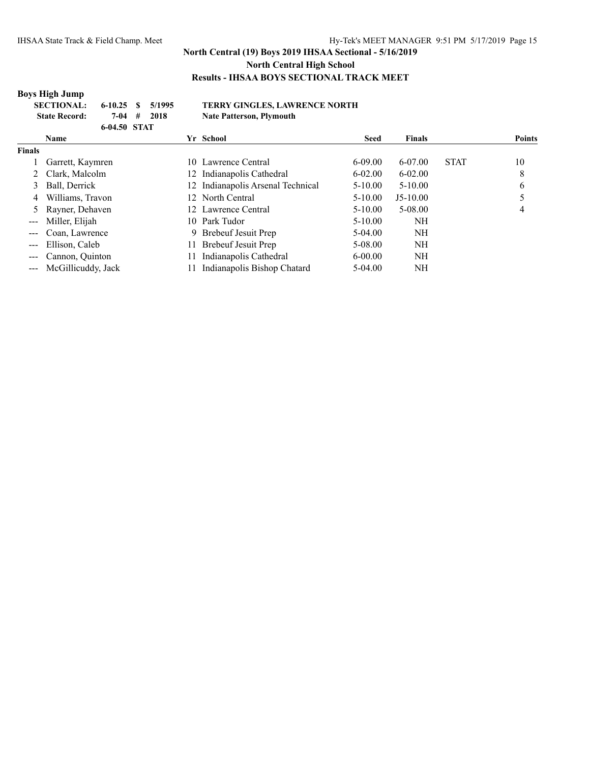## **Boys High Jump**

| <b>SECTIONAL:</b>    | $6-10.25$ \$ $5/1995$ |       | <b>TERRY GINGLES, LAWRENCE NORTH</b> |
|----------------------|-----------------------|-------|--------------------------------------|
| <b>State Record:</b> | 7-04 #                | -2018 | <b>Nate Patterson, Plymouth</b>      |
|                      | 6-04.50 STAT          |       |                                      |

|                                                                                                                                                                                                                                                                                                                                                                                              | <b>Name</b>            |    | Yr School                      | <b>Seed</b> | <b>Finals</b> |             | <b>Points</b> |
|----------------------------------------------------------------------------------------------------------------------------------------------------------------------------------------------------------------------------------------------------------------------------------------------------------------------------------------------------------------------------------------------|------------------------|----|--------------------------------|-------------|---------------|-------------|---------------|
| <b>Finals</b>                                                                                                                                                                                                                                                                                                                                                                                |                        |    |                                |             |               |             |               |
|                                                                                                                                                                                                                                                                                                                                                                                              | Garrett, Kaymren       |    | 10 Lawrence Central            | $6 - 09.00$ | 6-07.00       | <b>STAT</b> | 10            |
|                                                                                                                                                                                                                                                                                                                                                                                              | Clark, Malcolm         | 12 | Indianapolis Cathedral         | $6 - 02.00$ | $6 - 02.00$   |             | 8             |
| 3                                                                                                                                                                                                                                                                                                                                                                                            | Ball, Derrick          | 12 | Indianapolis Arsenal Technical | $5 - 10.00$ | $5 - 10.00$   |             | 6             |
| 4                                                                                                                                                                                                                                                                                                                                                                                            | Williams, Travon       |    | 12 North Central               | $5 - 10.00$ | $J5-10.00$    |             |               |
|                                                                                                                                                                                                                                                                                                                                                                                              | 5 Rayner, Dehaven      |    | 12 Lawrence Central            | $5 - 10.00$ | 5-08.00       |             | 4             |
| $-- -$                                                                                                                                                                                                                                                                                                                                                                                       | Miller, Elijah         |    | 10 Park Tudor                  | $5 - 10.00$ | NΗ            |             |               |
| $\frac{1}{2}$                                                                                                                                                                                                                                                                                                                                                                                | Coan, Lawrence         |    | 9 Brebeuf Jesuit Prep          | $5-04.00$   | NΗ            |             |               |
| $\frac{1}{2} \frac{1}{2} \frac{1}{2} \frac{1}{2} \frac{1}{2} \frac{1}{2} \frac{1}{2} \frac{1}{2} \frac{1}{2} \frac{1}{2} \frac{1}{2} \frac{1}{2} \frac{1}{2} \frac{1}{2} \frac{1}{2} \frac{1}{2} \frac{1}{2} \frac{1}{2} \frac{1}{2} \frac{1}{2} \frac{1}{2} \frac{1}{2} \frac{1}{2} \frac{1}{2} \frac{1}{2} \frac{1}{2} \frac{1}{2} \frac{1}{2} \frac{1}{2} \frac{1}{2} \frac{1}{2} \frac{$ | Ellison, Caleb         | 11 | Brebeuf Jesuit Prep            | 5-08.00     | NΗ            |             |               |
|                                                                                                                                                                                                                                                                                                                                                                                              | --- Cannon, Quinton    | 11 | Indianapolis Cathedral         | $6 - 00.00$ | NH            |             |               |
|                                                                                                                                                                                                                                                                                                                                                                                              | --- McGillicuddy, Jack |    | Indianapolis Bishop Chatard    | $5-04.00$   | NΗ            |             |               |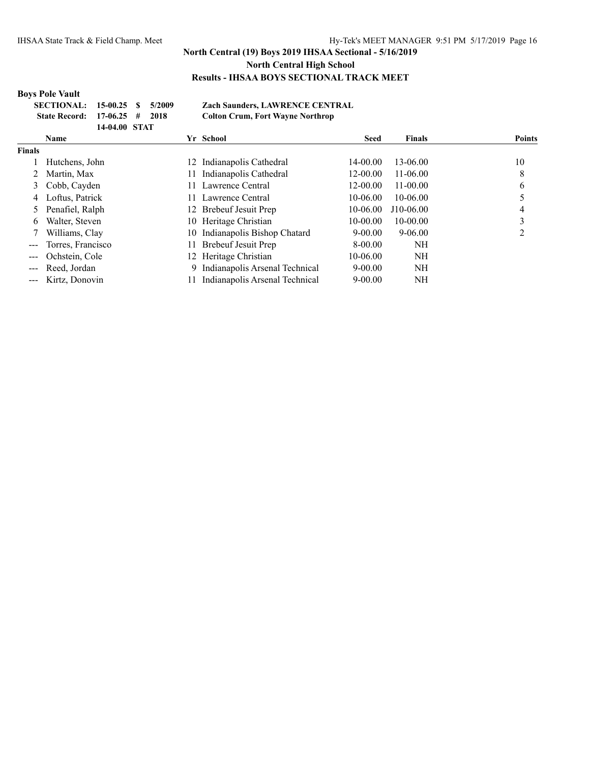### **Boys Pole Vault**

| SECTIONAL: 15-00.25 \$ 5/2009   |               |  | <b>Zach Saunders, LAWRENCE CENTRAL</b>  |
|---------------------------------|---------------|--|-----------------------------------------|
| State Record: $17-06.25$ # 2018 |               |  | <b>Colton Crum, Fort Wayne Northrop</b> |
|                                 | 14-04.00 STAT |  |                                         |

|                   | <b>Name</b>        | Yr School                        | <b>Seed</b>  | <b>Finals</b> | <b>Points</b> |
|-------------------|--------------------|----------------------------------|--------------|---------------|---------------|
| Finals            |                    |                                  |              |               |               |
|                   | Hutchens, John     | 12 Indianapolis Cathedral        | $14 - 00.00$ | 13-06.00      | 10            |
|                   | Martin, Max        | Indianapolis Cathedral           | $12 - 00.00$ | $11-06.00$    | 8             |
| 3                 | Cobb, Cayden       | 11 Lawrence Central              | $12 - 00.00$ | $11 - 00.00$  | O             |
| 4                 | Loftus, Patrick    | 11 Lawrence Central              | $10-06.00$   | 10-06.00      |               |
|                   | Penafiel, Ralph    | 12 Brebeuf Jesuit Prep           | $10-06.00$   | $J10-06.00$   |               |
| 6                 | Walter, Steven     | 10 Heritage Christian            | $10-00.00$   | $10 - 00.00$  |               |
|                   | Williams, Clay     | 10 Indianapolis Bishop Chatard   | $9 - 00.00$  | $9 - 06.00$   |               |
|                   | Torres, Francisco  | Brebeuf Jesuit Prep              | $8 - 00.00$  | NH            |               |
| $\qquad \qquad -$ | Ochstein, Cole     | 12 Heritage Christian            | 10-06.00     | NH            |               |
|                   | Reed, Jordan       | 9 Indianapolis Arsenal Technical | $9 - 00.00$  | NH            |               |
|                   | --- Kirtz, Donovin | Indianapolis Arsenal Technical   | $9 - 00.00$  | NH            |               |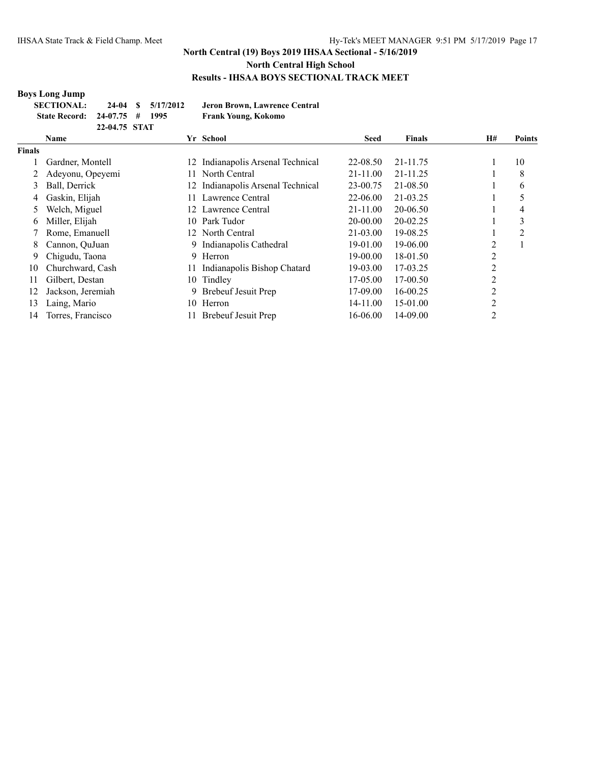## **Boys Long Jump**

| <b>SECTIONAL:</b>             |               | 24-04 \$ 5/17/2012 | Jeron Brown, Lawrence Central |
|-------------------------------|---------------|--------------------|-------------------------------|
| State Record: 24-07.75 # 1995 |               |                    | Frank Young, Kokomo           |
|                               | 22-04.75 STAT |                    |                               |

|        | Name              |     | Yr School                      | Seed         | <b>Finals</b> | H# | <b>Points</b> |
|--------|-------------------|-----|--------------------------------|--------------|---------------|----|---------------|
| Finals |                   |     |                                |              |               |    |               |
|        | Gardner, Montell  | 12  | Indianapolis Arsenal Technical | 22-08.50     | 21-11.75      |    | 10            |
|        | Adeyonu, Opeyemi  | 11  | North Central                  | $21 - 11.00$ | 21-11.25      |    | 8             |
| 3      | Ball, Derrick     | 12  | Indianapolis Arsenal Technical | 23-00.75     | 21-08.50      |    | 6             |
| 4      | Gaskin, Elijah    |     | Lawrence Central               | 22-06.00     | 21-03.25      |    |               |
| 5      | Welch, Miguel     | 12  | Lawrence Central               | $21 - 11.00$ | 20-06.50      |    | 4             |
| 6      | Miller, Elijah    | 10. | Park Tudor                     | 20-00.00     | 20-02.25      |    | 3             |
|        | Rome, Emanuell    |     | 12 North Central               | 21-03.00     | 19-08.25      |    | 2             |
| 8      | Cannon, OuJuan    | 9.  | Indianapolis Cathedral         | 19-01.00     | 19-06.00      | 2  |               |
| 9      | Chigudu, Taona    |     | 9 Herron                       | 19-00.00     | 18-01.50      | 2  |               |
| 10     | Churchward, Cash  |     | Indianapolis Bishop Chatard    | 19-03.00     | 17-03.25      | 2  |               |
| 11     | Gilbert, Destan   | 10  | Tindley                        | 17-05.00     | 17-00.50      | 2  |               |
| 12     | Jackson, Jeremiah | 9.  | Brebeuf Jesuit Prep            | 17-09.00     | 16-00.25      | 2  |               |
| 13     | Laing, Mario      | 10  | Herron                         | 14-11.00     | 15-01.00      | 2  |               |
| 14     | Torres, Francisco |     | Brebeuf Jesuit Prep            | 16-06.00     | 14-09.00      | 2  |               |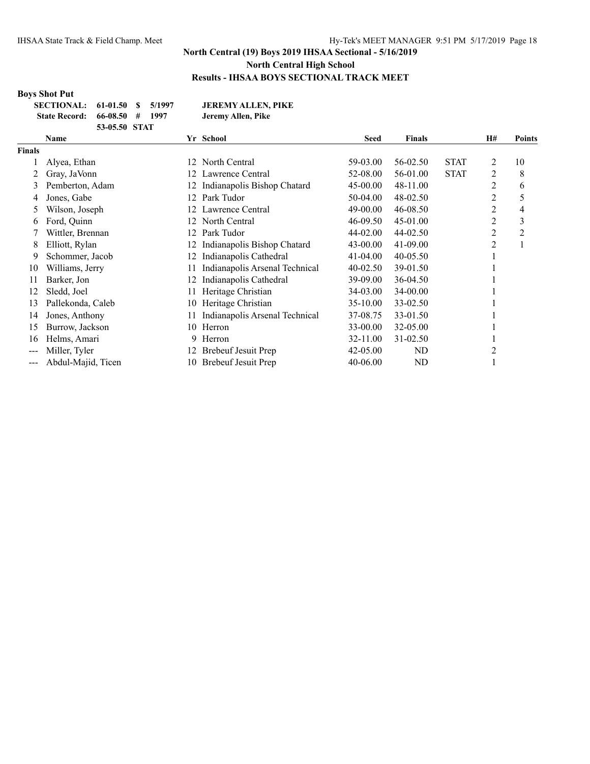# **Boys Shot Put**

| SECTIONAL: 61-01.50 \$ 5/1997 |               |  | <b>JEREMY ALLEN, PIKE</b> |
|-------------------------------|---------------|--|---------------------------|
| State Record: 66-08.50 # 1997 |               |  | Jeremy Allen, Pike        |
|                               | 53-05.50 STAT |  |                           |

|        | Name               |     | Yr School                      | <b>Seed</b> | <b>Finals</b>  |             | H# | <b>Points</b> |
|--------|--------------------|-----|--------------------------------|-------------|----------------|-------------|----|---------------|
| Finals |                    |     |                                |             |                |             |    |               |
|        | Alyea, Ethan       | 12  | North Central                  | 59-03.00    | 56-02.50       | <b>STAT</b> | 2  | 10            |
| 2      | Gray, JaVonn       | 12. | Lawrence Central               | 52-08.00    | 56-01.00       | <b>STAT</b> | 2  | 8             |
| 3      | Pemberton, Adam    |     | Indianapolis Bishop Chatard    | 45-00.00    | 48-11.00       |             | 2  | 6             |
| 4      | Jones, Gabe        | 12  | Park Tudor                     | 50-04.00    | 48-02.50       |             | 2  | 5             |
| 5      | Wilson, Joseph     | 12  | Lawrence Central               | 49-00.00    | 46-08.50       |             | 2  | 4             |
| 6      | Ford, Quinn        | 12  | North Central                  | 46-09.50    | 45-01.00       |             | 2  | 3             |
|        | Wittler, Brennan   | 12  | Park Tudor                     | 44-02.00    | 44-02.50       |             | 2  | 2             |
| 8      | Elliott, Rylan     | 12  | Indianapolis Bishop Chatard    | 43-00.00    | 41-09.00       |             | 2  |               |
| 9      | Schommer, Jacob    | 12  | Indianapolis Cathedral         | 41-04.00    | $40 - 05.50$   |             |    |               |
| 10     | Williams, Jerry    |     | Indianapolis Arsenal Technical | 40-02.50    | 39-01.50       |             |    |               |
| 11     | Barker, Jon        | 12  | Indianapolis Cathedral         | 39-09.00    | 36-04.50       |             |    |               |
| 12     | Sledd, Joel        |     | Heritage Christian             | 34-03.00    | 34-00.00       |             |    |               |
| 13     | Pallekonda, Caleb  | 10  | Heritage Christian             | 35-10.00    | 33-02.50       |             |    |               |
| 14     | Jones, Anthony     |     | Indianapolis Arsenal Technical | 37-08.75    | 33-01.50       |             |    |               |
| 15     | Burrow, Jackson    |     | 10 Herron                      | 33-00.00    | 32-05.00       |             |    |               |
| 16     | Helms, Amari       | 9.  | Herron                         | 32-11.00    | 31-02.50       |             |    |               |
| $---$  | Miller, Tyler      | 12  | <b>Brebeuf Jesuit Prep</b>     | 42-05.00    | N <sub>D</sub> |             |    |               |
| ---    | Abdul-Majid, Ticen | 10- | <b>Brebeuf Jesuit Prep</b>     | 40-06.00    | ND             |             |    |               |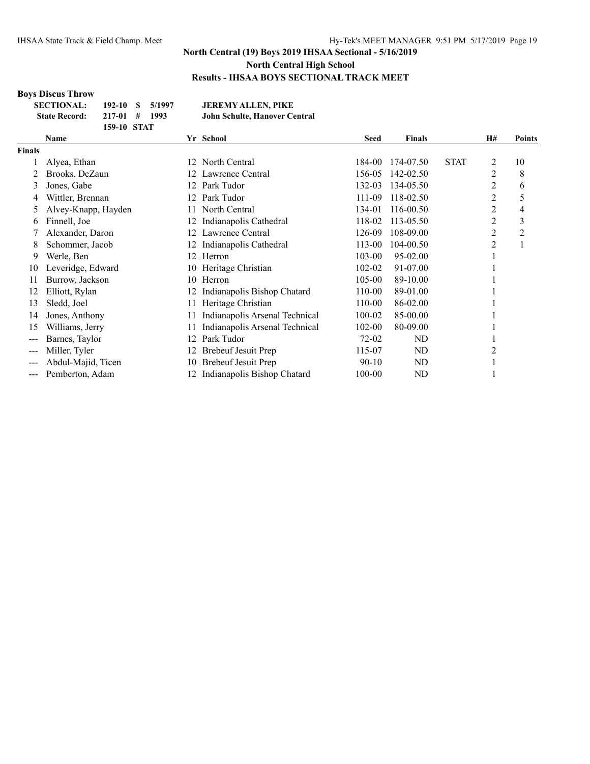## **Boys Discus Throw**

| <b>SECTIONAL:</b>    | $192-10S$   | 5/1997   | <b>JEREMY ALLEN, PIKE</b>     |
|----------------------|-------------|----------|-------------------------------|
| <b>State Record:</b> | $217-01$ #  | - 1993 - | John Schulte, Hanover Central |
|                      | 159-10 STAT |          |                               |

|               | Name                |     | Yr School                      | <b>Seed</b> | <b>Finals</b>  |             | <b>H#</b>      | Points         |
|---------------|---------------------|-----|--------------------------------|-------------|----------------|-------------|----------------|----------------|
| <b>Finals</b> |                     |     |                                |             |                |             |                |                |
|               | Alyea, Ethan        | 12. | North Central                  | 184-00      | 174-07.50      | <b>STAT</b> | 2              | 10             |
|               | Brooks, DeZaun      | 12. | Lawrence Central               | 156-05      | 142-02.50      |             | $\overline{2}$ | 8              |
| 3             | Jones, Gabe         | 12. | Park Tudor                     | 132-03      | 134-05.50      |             | 2              | 6              |
| 4             | Wittler, Brennan    | 12. | Park Tudor                     | 111-09      | 118-02.50      |             | 2              | 5              |
| 5             | Alvey-Knapp, Hayden | 11. | North Central                  | 134-01      | 116-00.50      |             | 2              | 4              |
| 6             | Finnell, Joe        | 12. | Indianapolis Cathedral         | 118-02      | 113-05.50      |             | $\overline{c}$ | 3              |
|               | Alexander, Daron    | 12. | Lawrence Central               | 126-09      | 108-09.00      |             | 2              | $\overline{c}$ |
| 8             | Schommer, Jacob     |     | Indianapolis Cathedral         | 113-00      | 104-00.50      |             | $\overline{2}$ |                |
| 9             | Werle, Ben          | 12. | Herron                         | 103-00      | 95-02.00       |             |                |                |
| 10            | Leveridge, Edward   | 10  | Heritage Christian             | 102-02      | 91-07.00       |             |                |                |
| 11            | Burrow, Jackson     | 10  | Herron                         | 105-00      | 89-10.00       |             |                |                |
| 12            | Elliott, Rylan      |     | Indianapolis Bishop Chatard    | 110-00      | 89-01.00       |             |                |                |
| 13            | Sledd, Joel         |     | Heritage Christian             | 110-00      | 86-02.00       |             |                |                |
| 14            | Jones, Anthony      | 11  | Indianapolis Arsenal Technical | 100-02      | 85-00.00       |             |                |                |
| 15            | Williams, Jerry     |     | Indianapolis Arsenal Technical | 102-00      | 80-09.00       |             |                |                |
| ---           | Barnes, Taylor      | 12  | Park Tudor                     | 72-02       | ND             |             |                |                |
| ---           | Miller, Tyler       |     | <b>Brebeuf Jesuit Prep</b>     | 115-07      | N <sub>D</sub> |             | 2              |                |
|               | Abdul-Majid, Ticen  | 10  | Brebeuf Jesuit Prep            | $90 - 10$   | ND             |             |                |                |
| $---$         | Pemberton, Adam     | 12. | Indianapolis Bishop Chatard    | 100-00      | ND             |             |                |                |